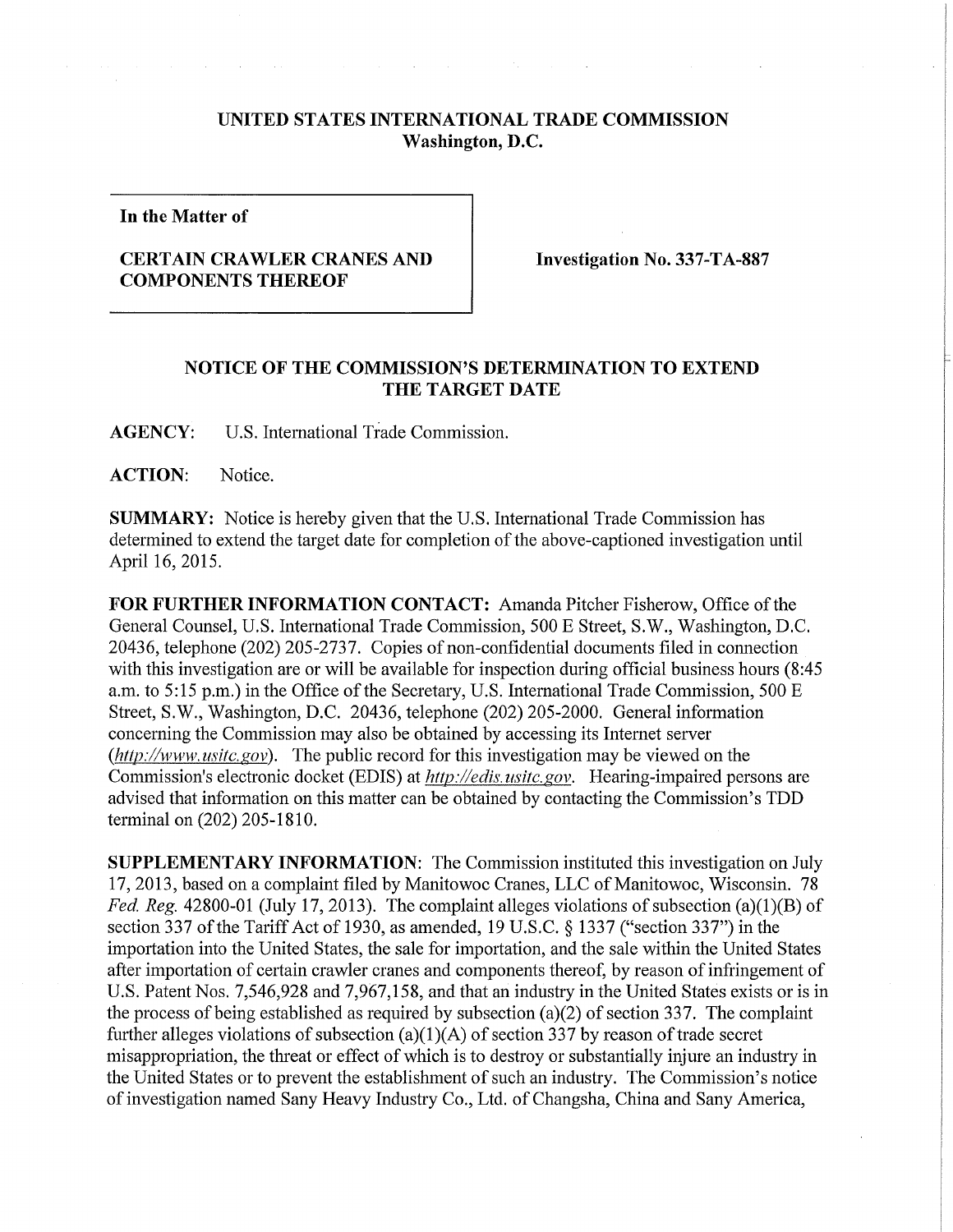## **UNITED STATES INTERNATIONAL TRADE COMMISSION Washington, D.C.**

**In the Matter of** 

## **CERTAIN CRAWLER CRANES AND COMPONENTS THEREOF**

**Investigation No. 337-TA-887** 

## **NOTICE OF THE COMMISSION'S DETERMINATION TO EXTEND THE TARGET DATE**

**AGENCY:** U.S. International Trade Commission.

ACTION: Notice.

**SUMMARY:** Notice is hereby given that the U.S. International Trade Commission has determined to extend the target date for completion of the above-captioned investigation until April 16, 2015.

**FOR FURTHER INFORMATION CONTACT:** Amanda Pitcher Fisherow, Office of the General Counsel, U.S. International Trade Commission, 500 E Street, S.W., Washington, D.C. 20436, telephone (202) 205-2737. Copies of non-confidential documents filed in connection with this investigation are or will be available for inspection during official business hours (8:45) a.m. to 5:15 p.m.) in the Office of the Secretary, U.S. International Trade Commission, 500 E Street, S.W., Washington, D.C. 20436, telephone (202) 205-2000. General information concerning the Commission may also be obtained by accessing its Internet server *(http://www.usitc.gov).* The public record for this investigation may be viewed on the Commission's electronic docket (EDIS) at *http://edis.usitc.gov*. Hearing-impaired persons are advised that information on this matter can be obtained by contacting the Commission's TDD terminal on (202) 205-1810.

**SUPPLEMENTARY INFORMATION:** The Commission instituted this investigation on July 17, 2013, based on a complaint filed by Manitowoc Cranes, LLC of Manitowoc, Wisconsin. 78 *Fed. Reg.* 42800-01 (July 17, 2013). The complaint alleges violations of subsection (a)(1)(B) of section 337 of the Tariff Act of 1930, as amended, 19 U.S.C. § 1337 ("section 337'') in the importation into the United States, the sale for importation, and the sale within the United States after importation of certain crawler cranes and components thereof, by reason of infringement of U.S. Patent Nos. 7,546,928 and 7,967,158, and that an industry in the United States exists or is in the process of being established as required by subsection (a)(2) of section 337. The complaint further alleges violations of subsection (a)(1)(A) of section 337 by reason of trade secret misappropriation, the threat or effect of which is to destroy or substantially injure an industry in the United States or to prevent the establishment of such an industry. The Commission's notice of investigation named Sany Heavy Industry Co., Ltd. of Changsha, China and Sany America,